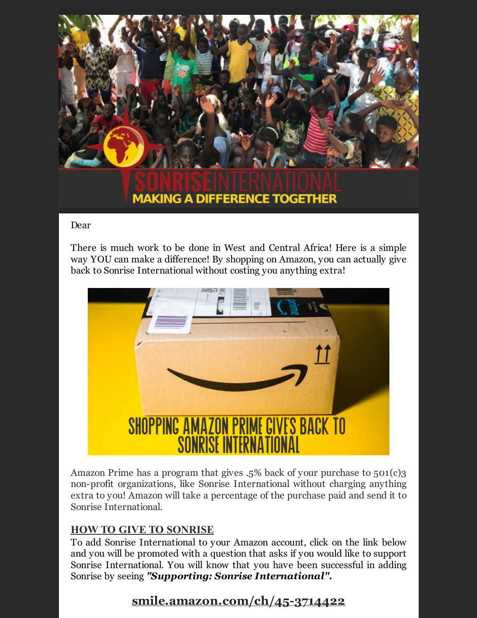

## **MAKING A DIFFERENCE TOGETHER**

## Dear

There is much work to be done in West and Central Africa! Here is a simple way YOU can make a difference! By shopping on Amazon, you can actually give back to Sonrise International without costing you anything extra!



Amazon Prime has a program that gives .5% back of your purchase to 501(c)3 non-profit organizations, like Sonrise International without charging anything extra to you! Amazon will take a percentage of the purchase paid and send it to Sonrise International.

## **HOW TO GIVE TO SONRISE**

To add Sonrise International to your Amazon account, click on the link below and you will be promoted with a question that asks if you would like to support Sonrise International. You will know that you have been successful in adding Sonrise by seeing *"Supporting: Sonrise International".*

## **smile.amazon.com/ch/45-3714422**